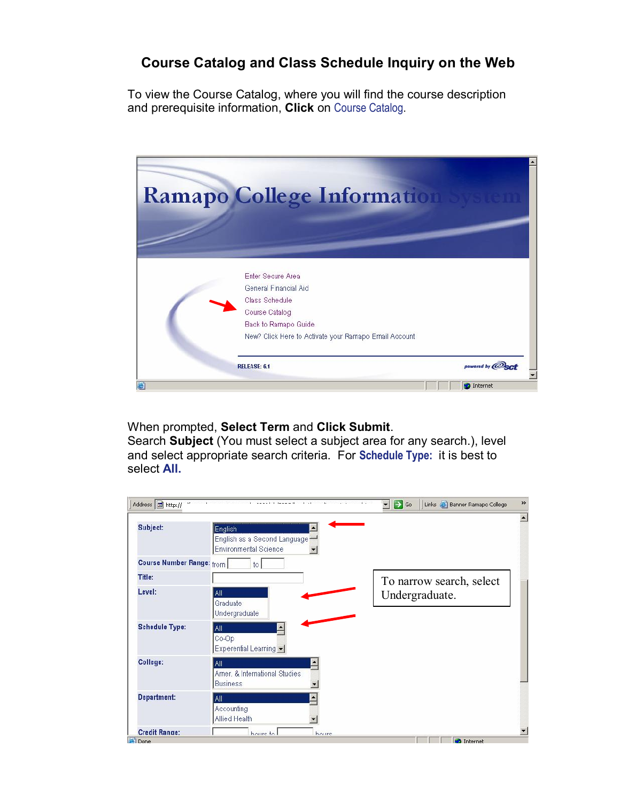## **Course Catalog and Class Schedule Inquiry on the Web**

To view the Course Catalog, where you will find the course description and prerequisite information, **Click** on [Course Catalog](http://selfserve.banner.ramapo.edu:9092/pls/PPRD/bwckctlg.p_disp_dyn_ctlg).

| <b>Ramapo College Information</b>                     |  |
|-------------------------------------------------------|--|
|                                                       |  |
| Enter Secure Area                                     |  |
| General Financial Aid                                 |  |
| Class Schedule                                        |  |
| Course Catalog                                        |  |
| Back to Ramapo Guide.                                 |  |
| New? Click Here to Activate your Ramapo Email Account |  |
|                                                       |  |

When prompted, **Select Term** and **Click Submit**.

Search **Subject** (You must select a subject area for any search.), level and select appropriate search criteria. For **Schedule Type:** it is best to select **All.**

| Subject:                         | English<br>English as a Second Language<br>Environmental Science |                          |
|----------------------------------|------------------------------------------------------------------|--------------------------|
| <b>Course Number Range:</b> from | to.                                                              |                          |
| Title:                           |                                                                  | To narrow search, select |
| Level:                           | All<br>Graduate<br>Undergraduate                                 | Undergraduate.           |
| <b>Schedule Type:</b>            | All<br>$Co$ -Op<br>Experential Learning -                        |                          |
| College:                         | All<br>Amer. & International Studies<br><b>Business</b>          |                          |
| <b>Department:</b>               | All<br>Accounting<br>Allied Health                               |                          |
| <b>Credit Range:</b>             | houre to<br>houre                                                |                          |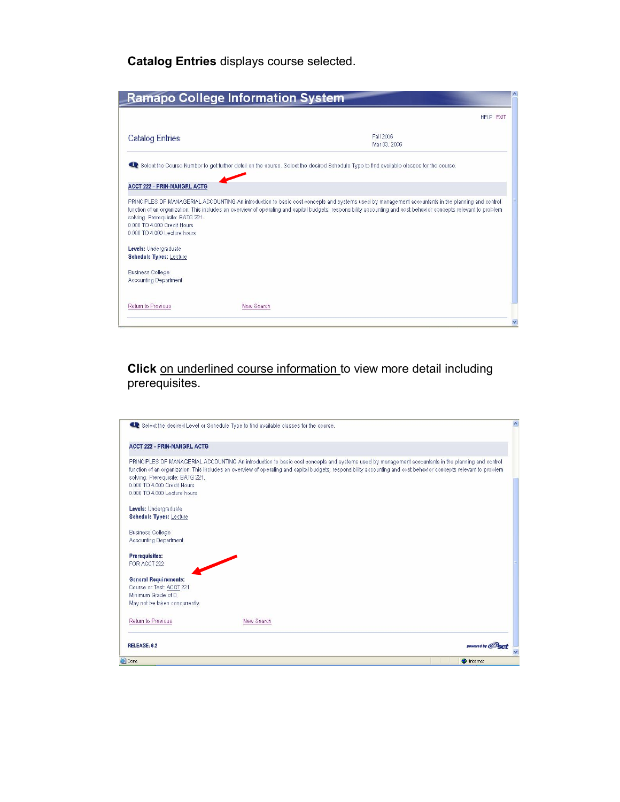**Catalog Entries** displays course selected.

|                                                                                                 | <b>Ramapo College Information System</b> |                                                                                                                                                                                                                                                                                                                        |           |
|-------------------------------------------------------------------------------------------------|------------------------------------------|------------------------------------------------------------------------------------------------------------------------------------------------------------------------------------------------------------------------------------------------------------------------------------------------------------------------|-----------|
|                                                                                                 |                                          |                                                                                                                                                                                                                                                                                                                        | HELP EXIT |
| <b>Catalog Entries</b>                                                                          |                                          | Fall 2006<br>Mar 03, 2006                                                                                                                                                                                                                                                                                              |           |
|                                                                                                 |                                          | C. Select the Course Number to get further detail on the course. Select the desired Schedule Type to find available classes for the course.                                                                                                                                                                            |           |
| <b>ACCT 222 - PRIN-MANGRL ACTG</b>                                                              |                                          |                                                                                                                                                                                                                                                                                                                        |           |
| solving. Prerequisite: BATG 221.<br>0.000 TO 4.000 Credit Hours<br>0.000 TO 4.000 Lecture hours |                                          | PRINCIPLES OF MANAGERIAL ACCOUNTING An introduction to basic cost concepts and systems used by management accountants in the planning and control<br>function of an organization. This includes an overview of operating and capital budgets; responsibility accounting and cost behavior concepts relevant to problem |           |
| Levels: Undergraduate<br><b>Schedule Types: Lecture</b>                                         |                                          |                                                                                                                                                                                                                                                                                                                        |           |
| <b>Business College</b><br><b>Accounting Department</b>                                         |                                          |                                                                                                                                                                                                                                                                                                                        |           |
| Return to Previous                                                                              | New Search                               |                                                                                                                                                                                                                                                                                                                        |           |
|                                                                                                 |                                          |                                                                                                                                                                                                                                                                                                                        |           |

## **Click** on underlined course information to view more detail including prerequisites.

| RELEASE: 6.2                                            |                                                                                                                                                                                                                                                                                                                        |  |
|---------------------------------------------------------|------------------------------------------------------------------------------------------------------------------------------------------------------------------------------------------------------------------------------------------------------------------------------------------------------------------------|--|
| Return to Previous                                      | New Search                                                                                                                                                                                                                                                                                                             |  |
| May not be taken concurrently.                          |                                                                                                                                                                                                                                                                                                                        |  |
| Minimum Grade of D                                      |                                                                                                                                                                                                                                                                                                                        |  |
| <b>General Requirements:</b><br>Course or Test ACCT 221 |                                                                                                                                                                                                                                                                                                                        |  |
|                                                         |                                                                                                                                                                                                                                                                                                                        |  |
| FOR ACCT 222                                            |                                                                                                                                                                                                                                                                                                                        |  |
| Prerequisites:                                          |                                                                                                                                                                                                                                                                                                                        |  |
| Accounting Department                                   |                                                                                                                                                                                                                                                                                                                        |  |
| <b>Business College</b>                                 |                                                                                                                                                                                                                                                                                                                        |  |
| <b>Schedule Types: Lecture</b>                          |                                                                                                                                                                                                                                                                                                                        |  |
| Levels: Undergraduate                                   |                                                                                                                                                                                                                                                                                                                        |  |
| 0.000 TO 4.000 Lecture hours                            |                                                                                                                                                                                                                                                                                                                        |  |
| 0.000 TO 4.000 Credit Hours                             |                                                                                                                                                                                                                                                                                                                        |  |
| solving. Prerequisite: BATG 221.                        |                                                                                                                                                                                                                                                                                                                        |  |
|                                                         | PRINCIPLES OF MANAGERIAL ACCOUNTING An introduction to basic cost concepts and systems used by management accountants in the planning and control<br>function of an organization. This includes an overview of operating and capital budgets; responsibility accounting and cost behavior concepts relevant to problem |  |
| <b>ACCT 222 - PRIN-MANGRL ACTG</b>                      |                                                                                                                                                                                                                                                                                                                        |  |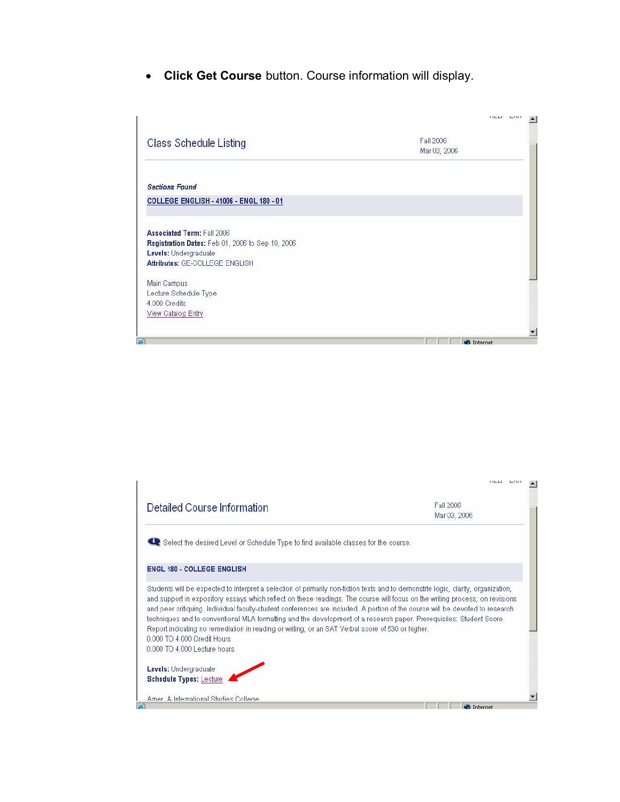· **Click Get Course** button. Course information will display.



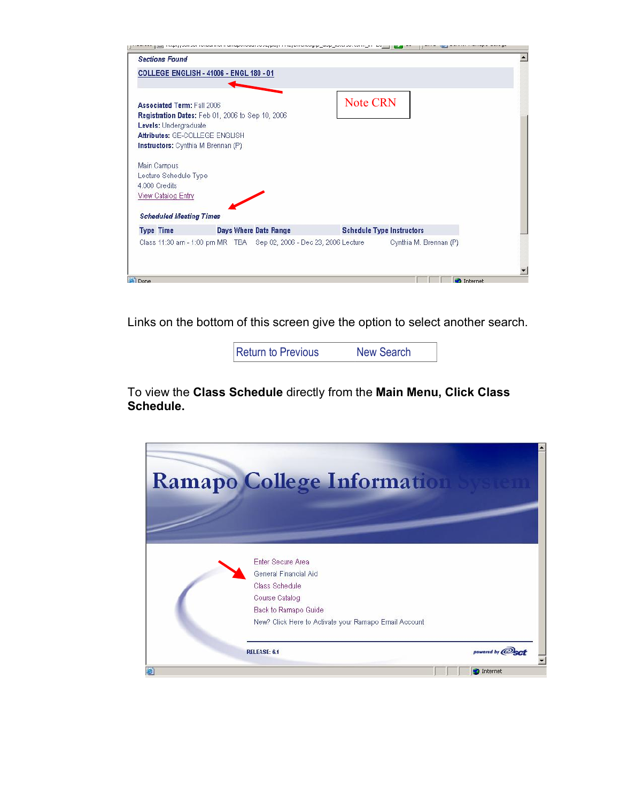|                                                                                                                                                                                        | manapersonal escoupeup i insperionalgip_aup_auxil.com/sem_in=les___ |                                  |                        |                   |
|----------------------------------------------------------------------------------------------------------------------------------------------------------------------------------------|---------------------------------------------------------------------|----------------------------------|------------------------|-------------------|
| <b>Sections Found</b>                                                                                                                                                                  |                                                                     |                                  |                        |                   |
| <b>COLLEGE ENGLISH - 41006 - ENGL 180 - 01</b>                                                                                                                                         |                                                                     |                                  |                        |                   |
| <b>Associated Term: Fall 2006</b><br>Registration Dates: Feb 01, 2006 to Sep 10, 2006<br>Levels: Undergraduate<br>Attributes: GE-COLLEGE ENGLISH<br>Instructors: Cynthia M Brennan (P) |                                                                     | <b>Note CRN</b>                  |                        |                   |
| Main Campus<br>Lecture Schedule Type<br>4.000 Credits<br>View Catalog Entry<br><b>Scheduled Meeting Times</b>                                                                          |                                                                     |                                  |                        |                   |
| <b>Type Time</b>                                                                                                                                                                       | Days Where Date Range                                               | <b>Schedule Type Instructors</b> |                        |                   |
|                                                                                                                                                                                        |                                                                     |                                  | Cynthia M. Brennan (P) |                   |
| Done                                                                                                                                                                                   |                                                                     |                                  |                        | <b>C</b> Internet |

Links on the bottom of this screen give the option to select another search.

[Return to Previous](http://selfserve.banner.ramapo.edu:9092/pls/PPRD/bwckctlg.p_disp_listcrse?term_in=200640&subj_in=ENGL&crse_in=180&schd_in=LEC) New [Search](http://selfserve.banner.ramapo.edu:9092/pls/PPRD/bwckschd.p_disp_dyn_sched)

To view the **Class Schedule** directly from the **Main Menu, Click Class Schedule.**

|   | <b>Ramapo College Informatio</b>                      |                 |
|---|-------------------------------------------------------|-----------------|
|   |                                                       |                 |
|   |                                                       |                 |
|   | Enter Secure Area                                     |                 |
|   | General Financial Aid                                 |                 |
|   | Class Schedule                                        |                 |
|   | Course Catalog                                        |                 |
|   | Back to Ramapo Guide                                  |                 |
|   | New? Click Here to Activate your Ramapo Email Account |                 |
|   | RELEASE: 6.1                                          | powered by @erf |
| ē |                                                       | Internet        |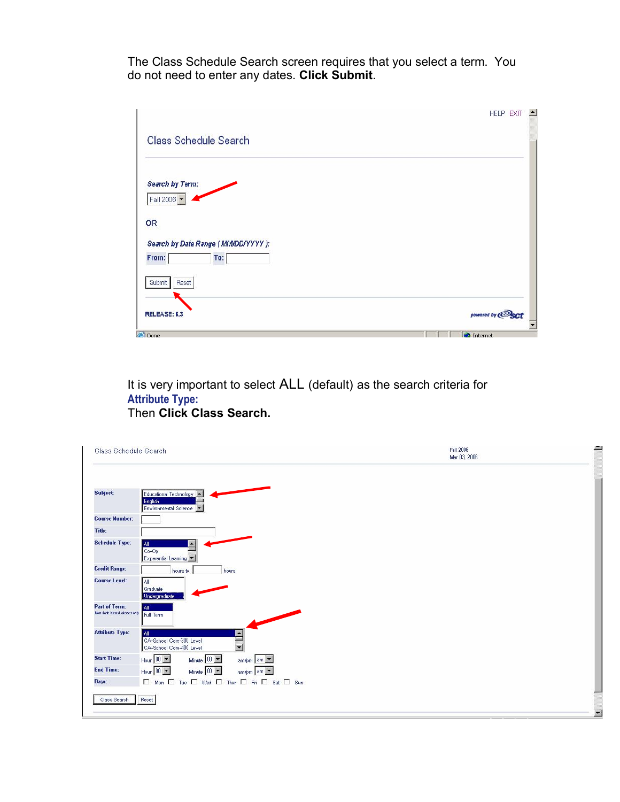The Class Schedule Search screen requires that you select a term. You do not need to enter any dates. **Click Submit**.

|                                                    | HELP EXIT<br>$\blacktriangle$               |
|----------------------------------------------------|---------------------------------------------|
| <b>Class Schedule Search</b>                       |                                             |
| Search by Term:<br>Fall 2006                       |                                             |
| OR                                                 |                                             |
| Search by Date Range (MM/DD/YYYY):<br>From:<br>To: |                                             |
| Submit<br>Reset                                    |                                             |
| RELEASE: 6.3<br><b>Done</b>                        | powered by <b>@sct</b><br><b>C</b> Internet |

It is very important to select ALL (default) as the search criteria for **Attribute Type:** Then **Click Class Search.**

| Class Schedule Search                              |                                                                                                                     | Fall 2006<br>Mar 03, 2006 | <b>Bush</b>    |
|----------------------------------------------------|---------------------------------------------------------------------------------------------------------------------|---------------------------|----------------|
| <b>Subject</b>                                     | Educational Technology<br>English<br>Environmental Science                                                          |                           |                |
| <b>Course Number:</b>                              |                                                                                                                     |                           |                |
| Title:                                             |                                                                                                                     |                           |                |
| <b>Schedule Type:</b>                              | All<br>$\blacktriangle$<br>$Co-Op$<br>Experential Learning                                                          |                           |                |
| <b>Credit Range:</b>                               | hours<br>hours to                                                                                                   |                           |                |
| <b>Course Level:</b>                               | All<br>Graduate<br>Undergraduate                                                                                    |                           |                |
| <b>Part of Term:</b><br>Non-date based dasses only | All <sup>-</sup><br>Full Term                                                                                       |                           |                |
| <b>Attribute Type:</b>                             | All<br>$\overline{\phantom{a}}$<br>CA-School Core-300 Level<br>$\overline{\phantom{0}}$<br>CA-School Core-400 Level |                           |                |
| <b>Start Time:</b>                                 | Hour $\boxed{00 - 1}$<br>Minute $\boxed{00 - 1}$<br>am/pm am -                                                      |                           |                |
| <b>End Time:</b>                                   | Hour $00 -$<br>Minute $00 -$<br>am/pm am -                                                                          |                           |                |
| Days:                                              | □ Mon □ Tue □ Wed □ Thur □ Fri □ Sat □ Sun                                                                          |                           |                |
| Class Search                                       | Reset                                                                                                               |                           | $\overline{a}$ |